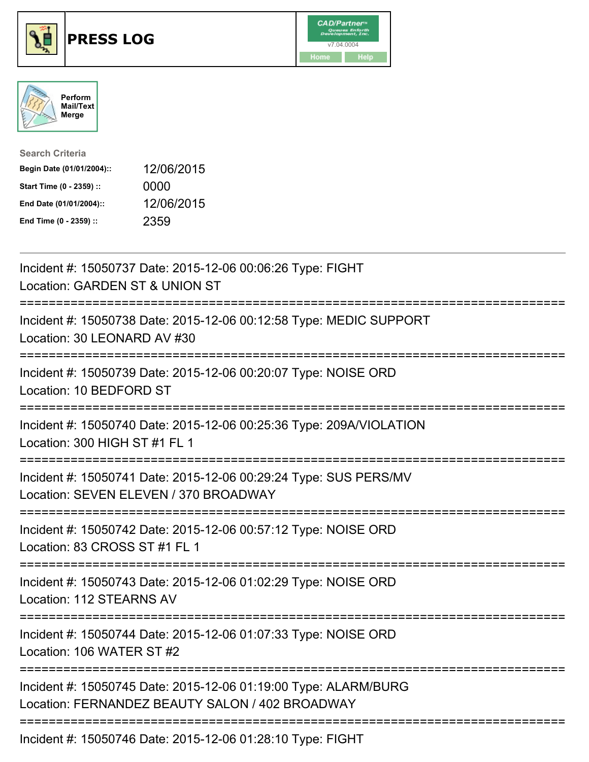





| <b>Search Criteria</b>    |            |
|---------------------------|------------|
| Begin Date (01/01/2004):: | 12/06/2015 |
| Start Time (0 - 2359) ::  | 0000       |
| End Date (01/01/2004)::   | 12/06/2015 |
| End Time (0 - 2359) ::    | 2359       |

| Incident #: 15050737 Date: 2015-12-06 00:06:26 Type: FIGHT<br>Location: GARDEN ST & UNION ST                                                 |
|----------------------------------------------------------------------------------------------------------------------------------------------|
| Incident #: 15050738 Date: 2015-12-06 00:12:58 Type: MEDIC SUPPORT<br>Location: 30 LEONARD AV #30                                            |
| Incident #: 15050739 Date: 2015-12-06 00:20:07 Type: NOISE ORD<br>Location: 10 BEDFORD ST                                                    |
| Incident #: 15050740 Date: 2015-12-06 00:25:36 Type: 209A/VIOLATION<br>Location: 300 HIGH ST #1 FL 1<br>=============                        |
| Incident #: 15050741 Date: 2015-12-06 00:29:24 Type: SUS PERS/MV<br>Location: SEVEN ELEVEN / 370 BROADWAY<br>=============================   |
| Incident #: 15050742 Date: 2015-12-06 00:57:12 Type: NOISE ORD<br>Location: 83 CROSS ST #1 FL 1                                              |
| :====================<br>==============<br>Incident #: 15050743 Date: 2015-12-06 01:02:29 Type: NOISE ORD<br><b>Location: 112 STEARNS AV</b> |
| Incident #: 15050744 Date: 2015-12-06 01:07:33 Type: NOISE ORD<br>Location: 106 WATER ST #2                                                  |
| Incident #: 15050745 Date: 2015-12-06 01:19:00 Type: ALARM/BURG<br>Location: FERNANDEZ BEAUTY SALON / 402 BROADWAY                           |
| Incident #: 15050746 Date: 2015-12-06 01:28:10 Type: FIGHT                                                                                   |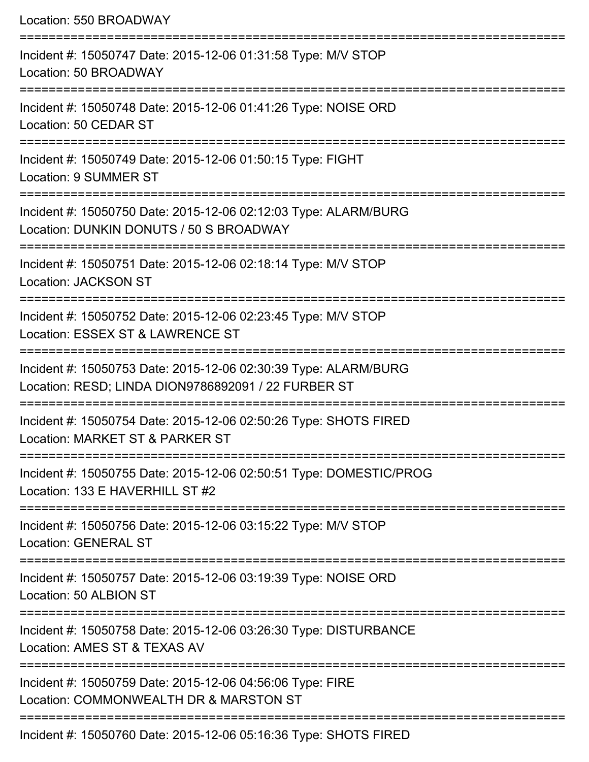| Location: 550 BROADWAY                                                                                                                         |
|------------------------------------------------------------------------------------------------------------------------------------------------|
| Incident #: 15050747 Date: 2015-12-06 01:31:58 Type: M/V STOP<br>Location: 50 BROADWAY                                                         |
| Incident #: 15050748 Date: 2015-12-06 01:41:26 Type: NOISE ORD<br>Location: 50 CEDAR ST                                                        |
| Incident #: 15050749 Date: 2015-12-06 01:50:15 Type: FIGHT<br>Location: 9 SUMMER ST                                                            |
| Incident #: 15050750 Date: 2015-12-06 02:12:03 Type: ALARM/BURG<br>Location: DUNKIN DONUTS / 50 S BROADWAY                                     |
| Incident #: 15050751 Date: 2015-12-06 02:18:14 Type: M/V STOP<br><b>Location: JACKSON ST</b>                                                   |
| ;==================================<br>Incident #: 15050752 Date: 2015-12-06 02:23:45 Type: M/V STOP<br>Location: ESSEX ST & LAWRENCE ST       |
| Incident #: 15050753 Date: 2015-12-06 02:30:39 Type: ALARM/BURG<br>Location: RESD; LINDA DION9786892091 / 22 FURBER ST<br>==================== |
| Incident #: 15050754 Date: 2015-12-06 02:50:26 Type: SHOTS FIRED<br>Location: MARKET ST & PARKER ST                                            |
| Incident #: 15050755 Date: 2015-12-06 02:50:51 Type: DOMESTIC/PROG<br>Location: 133 E HAVERHILL ST #2                                          |
| Incident #: 15050756 Date: 2015-12-06 03:15:22 Type: M/V STOP<br><b>Location: GENERAL ST</b>                                                   |
| Incident #: 15050757 Date: 2015-12-06 03:19:39 Type: NOISE ORD<br>Location: 50 ALBION ST                                                       |
| Incident #: 15050758 Date: 2015-12-06 03:26:30 Type: DISTURBANCE<br>Location: AMES ST & TEXAS AV                                               |
| Incident #: 15050759 Date: 2015-12-06 04:56:06 Type: FIRE<br>Location: COMMONWEALTH DR & MARSTON ST                                            |
| Incident #: 15050760 Date: 2015-12-06 05:16:36 Type: SHOTS FIRED                                                                               |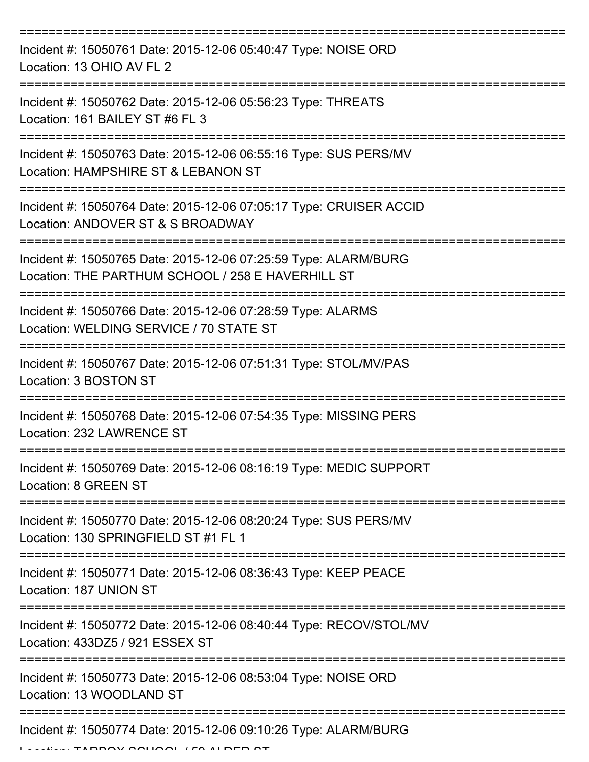| Incident #: 15050761 Date: 2015-12-06 05:40:47 Type: NOISE ORD<br>Location: 13 OHIO AV FL 2                          |
|----------------------------------------------------------------------------------------------------------------------|
| Incident #: 15050762 Date: 2015-12-06 05:56:23 Type: THREATS<br>Location: 161 BAILEY ST #6 FL 3                      |
| Incident #: 15050763 Date: 2015-12-06 06:55:16 Type: SUS PERS/MV<br>Location: HAMPSHIRE ST & LEBANON ST              |
| Incident #: 15050764 Date: 2015-12-06 07:05:17 Type: CRUISER ACCID<br>Location: ANDOVER ST & S BROADWAY              |
| Incident #: 15050765 Date: 2015-12-06 07:25:59 Type: ALARM/BURG<br>Location: THE PARTHUM SCHOOL / 258 E HAVERHILL ST |
| Incident #: 15050766 Date: 2015-12-06 07:28:59 Type: ALARMS<br>Location: WELDING SERVICE / 70 STATE ST               |
| Incident #: 15050767 Date: 2015-12-06 07:51:31 Type: STOL/MV/PAS<br>Location: 3 BOSTON ST                            |
| Incident #: 15050768 Date: 2015-12-06 07:54:35 Type: MISSING PERS<br>Location: 232 LAWRENCE ST                       |
| Incident #: 15050769 Date: 2015-12-06 08:16:19 Type: MEDIC SUPPORT<br>Location: 8 GREEN ST                           |
| Incident #: 15050770 Date: 2015-12-06 08:20:24 Type: SUS PERS/MV<br>Location: 130 SPRINGFIELD ST #1 FL 1             |
| Incident #: 15050771 Date: 2015-12-06 08:36:43 Type: KEEP PEACE<br>Location: 187 UNION ST                            |
| Incident #: 15050772 Date: 2015-12-06 08:40:44 Type: RECOV/STOL/MV<br>Location: 433DZ5 / 921 ESSEX ST                |
| Incident #: 15050773 Date: 2015-12-06 08:53:04 Type: NOISE ORD<br>Location: 13 WOODLAND ST                           |
| Incident #: 15050774 Date: 2015-12-06 09:10:26 Type: ALARM/BURG                                                      |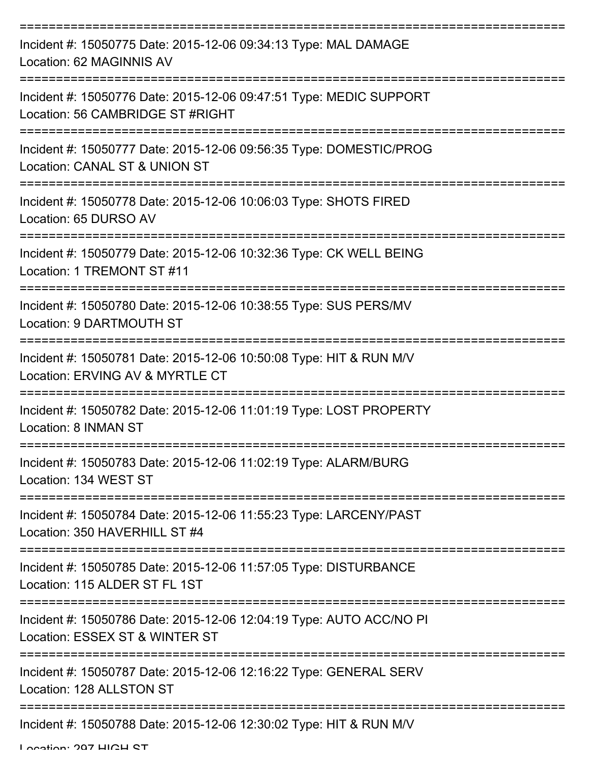| Incident #: 15050775 Date: 2015-12-06 09:34:13 Type: MAL DAMAGE<br>Location: 62 MAGINNIS AV            |
|--------------------------------------------------------------------------------------------------------|
| Incident #: 15050776 Date: 2015-12-06 09:47:51 Type: MEDIC SUPPORT<br>Location: 56 CAMBRIDGE ST #RIGHT |
| Incident #: 15050777 Date: 2015-12-06 09:56:35 Type: DOMESTIC/PROG<br>Location: CANAL ST & UNION ST    |
| Incident #: 15050778 Date: 2015-12-06 10:06:03 Type: SHOTS FIRED<br>Location: 65 DURSO AV              |
| Incident #: 15050779 Date: 2015-12-06 10:32:36 Type: CK WELL BEING<br>Location: 1 TREMONT ST #11       |
| Incident #: 15050780 Date: 2015-12-06 10:38:55 Type: SUS PERS/MV<br>Location: 9 DARTMOUTH ST           |
| Incident #: 15050781 Date: 2015-12-06 10:50:08 Type: HIT & RUN M/V<br>Location: ERVING AV & MYRTLE CT  |
| Incident #: 15050782 Date: 2015-12-06 11:01:19 Type: LOST PROPERTY<br>Location: 8 INMAN ST             |
| Incident #: 15050783 Date: 2015-12-06 11:02:19 Type: ALARM/BURG<br>Location: 134 WEST ST               |
| Incident #: 15050784 Date: 2015-12-06 11:55:23 Type: LARCENY/PAST<br>Location: 350 HAVERHILL ST #4     |
| Incident #: 15050785 Date: 2015-12-06 11:57:05 Type: DISTURBANCE<br>Location: 115 ALDER ST FL 1ST      |
| Incident #: 15050786 Date: 2015-12-06 12:04:19 Type: AUTO ACC/NO PI<br>Location: ESSEX ST & WINTER ST  |
| Incident #: 15050787 Date: 2015-12-06 12:16:22 Type: GENERAL SERV<br>Location: 128 ALLSTON ST          |
| Incident #: 15050788 Date: 2015-12-06 12:30:02 Type: HIT & RUN M/V                                     |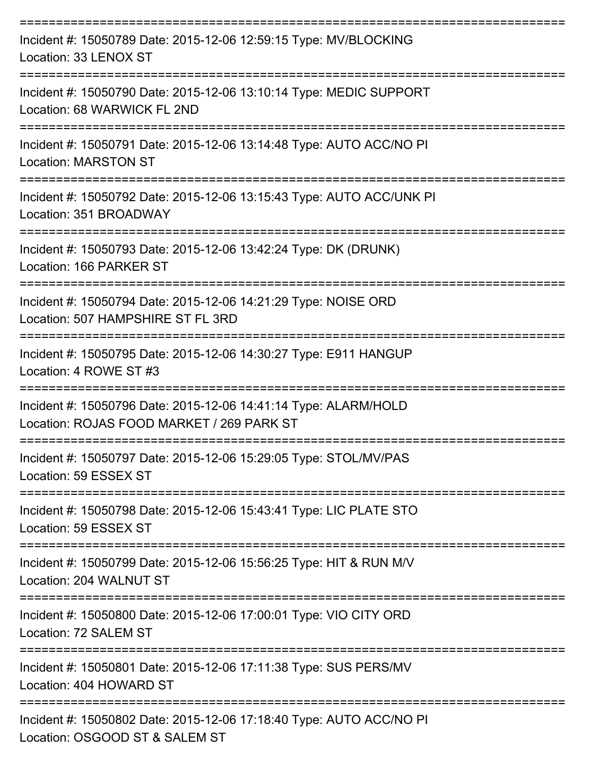| Incident #: 15050789 Date: 2015-12-06 12:59:15 Type: MV/BLOCKING<br>Location: 33 LENOX ST                    |
|--------------------------------------------------------------------------------------------------------------|
| Incident #: 15050790 Date: 2015-12-06 13:10:14 Type: MEDIC SUPPORT<br>Location: 68 WARWICK FL 2ND            |
| Incident #: 15050791 Date: 2015-12-06 13:14:48 Type: AUTO ACC/NO PI<br><b>Location: MARSTON ST</b>           |
| Incident #: 15050792 Date: 2015-12-06 13:15:43 Type: AUTO ACC/UNK PI<br>Location: 351 BROADWAY               |
| Incident #: 15050793 Date: 2015-12-06 13:42:24 Type: DK (DRUNK)<br>Location: 166 PARKER ST                   |
| Incident #: 15050794 Date: 2015-12-06 14:21:29 Type: NOISE ORD<br>Location: 507 HAMPSHIRE ST FL 3RD          |
| Incident #: 15050795 Date: 2015-12-06 14:30:27 Type: E911 HANGUP<br>Location: 4 ROWE ST #3                   |
| Incident #: 15050796 Date: 2015-12-06 14:41:14 Type: ALARM/HOLD<br>Location: ROJAS FOOD MARKET / 269 PARK ST |
| Incident #: 15050797 Date: 2015-12-06 15:29:05 Type: STOL/MV/PAS<br>Location: 59 ESSEX ST                    |
| Incident #: 15050798 Date: 2015-12-06 15:43:41 Type: LIC PLATE STO<br>Location: 59 ESSEX ST                  |
| Incident #: 15050799 Date: 2015-12-06 15:56:25 Type: HIT & RUN M/V<br>Location: 204 WALNUT ST                |
| Incident #: 15050800 Date: 2015-12-06 17:00:01 Type: VIO CITY ORD<br>Location: 72 SALEM ST                   |
| Incident #: 15050801 Date: 2015-12-06 17:11:38 Type: SUS PERS/MV<br>Location: 404 HOWARD ST                  |
| Incident #: 15050802 Date: 2015-12-06 17:18:40 Type: AUTO ACC/NO PI<br>Location: OSGOOD ST & SALEM ST        |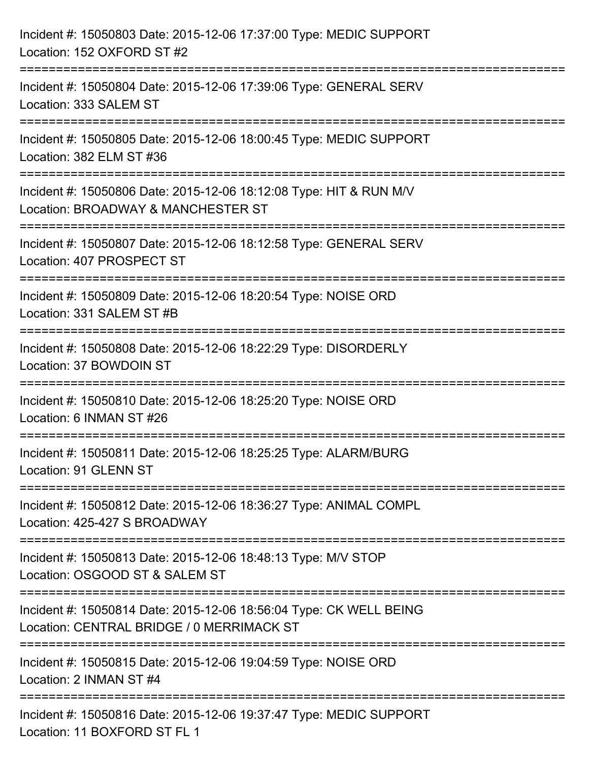| Incident #: 15050803 Date: 2015-12-06 17:37:00 Type: MEDIC SUPPORT<br>Location: 152 OXFORD ST #2                                                                     |
|----------------------------------------------------------------------------------------------------------------------------------------------------------------------|
| ========================<br>Incident #: 15050804 Date: 2015-12-06 17:39:06 Type: GENERAL SERV<br>Location: 333 SALEM ST                                              |
| Incident #: 15050805 Date: 2015-12-06 18:00:45 Type: MEDIC SUPPORT<br>Location: 382 ELM ST #36<br>===================================<br>=========================== |
| Incident #: 15050806 Date: 2015-12-06 18:12:08 Type: HIT & RUN M/V<br>Location: BROADWAY & MANCHESTER ST<br>:=====================                                   |
| Incident #: 15050807 Date: 2015-12-06 18:12:58 Type: GENERAL SERV<br>Location: 407 PROSPECT ST<br>-----------------------------                                      |
| Incident #: 15050809 Date: 2015-12-06 18:20:54 Type: NOISE ORD<br>Location: 331 SALEM ST #B                                                                          |
| Incident #: 15050808 Date: 2015-12-06 18:22:29 Type: DISORDERLY<br>Location: 37 BOWDOIN ST                                                                           |
| Incident #: 15050810 Date: 2015-12-06 18:25:20 Type: NOISE ORD<br>Location: 6 INMAN ST #26                                                                           |
| Incident #: 15050811 Date: 2015-12-06 18:25:25 Type: ALARM/BURG<br>Location: 91 GLENN ST                                                                             |
| Incident #: 15050812 Date: 2015-12-06 18:36:27 Type: ANIMAL COMPL<br>Location: 425-427 S BROADWAY                                                                    |
| Incident #: 15050813 Date: 2015-12-06 18:48:13 Type: M/V STOP<br>Location: OSGOOD ST & SALEM ST                                                                      |
| Incident #: 15050814 Date: 2015-12-06 18:56:04 Type: CK WELL BEING<br>Location: CENTRAL BRIDGE / 0 MERRIMACK ST                                                      |
| Incident #: 15050815 Date: 2015-12-06 19:04:59 Type: NOISE ORD<br>Location: 2 INMAN ST #4                                                                            |
| Incident #: 15050816 Date: 2015-12-06 19:37:47 Type: MEDIC SUPPORT<br>Location: 11 BOXFORD ST FL 1                                                                   |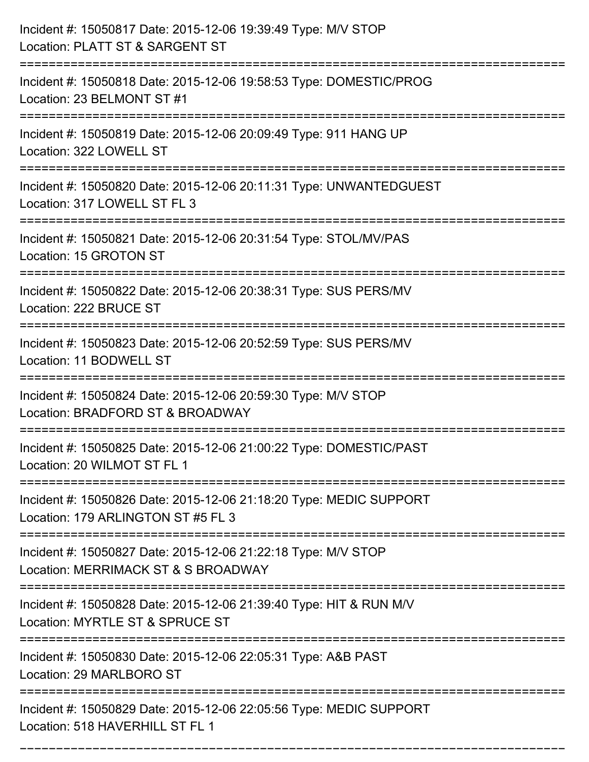| Incident #: 15050817 Date: 2015-12-06 19:39:49 Type: M/V STOP<br>Location: PLATT ST & SARGENT ST         |
|----------------------------------------------------------------------------------------------------------|
| Incident #: 15050818 Date: 2015-12-06 19:58:53 Type: DOMESTIC/PROG<br>Location: 23 BELMONT ST #1         |
| Incident #: 15050819 Date: 2015-12-06 20:09:49 Type: 911 HANG UP<br>Location: 322 LOWELL ST              |
| Incident #: 15050820 Date: 2015-12-06 20:11:31 Type: UNWANTEDGUEST<br>Location: 317 LOWELL ST FL 3       |
| Incident #: 15050821 Date: 2015-12-06 20:31:54 Type: STOL/MV/PAS<br>Location: 15 GROTON ST               |
| Incident #: 15050822 Date: 2015-12-06 20:38:31 Type: SUS PERS/MV<br>Location: 222 BRUCE ST               |
| Incident #: 15050823 Date: 2015-12-06 20:52:59 Type: SUS PERS/MV<br>Location: 11 BODWELL ST              |
| Incident #: 15050824 Date: 2015-12-06 20:59:30 Type: M/V STOP<br>Location: BRADFORD ST & BROADWAY        |
| Incident #: 15050825 Date: 2015-12-06 21:00:22 Type: DOMESTIC/PAST<br>Location: 20 WILMOT ST FL 1        |
| Incident #: 15050826 Date: 2015-12-06 21:18:20 Type: MEDIC SUPPORT<br>Location: 179 ARLINGTON ST #5 FL 3 |
| Incident #: 15050827 Date: 2015-12-06 21:22:18 Type: M/V STOP<br>Location: MERRIMACK ST & S BROADWAY     |
| Incident #: 15050828 Date: 2015-12-06 21:39:40 Type: HIT & RUN M/V<br>Location: MYRTLE ST & SPRUCE ST    |
| Incident #: 15050830 Date: 2015-12-06 22:05:31 Type: A&B PAST<br>Location: 29 MARLBORO ST                |
| Incident #: 15050829 Date: 2015-12-06 22:05:56 Type: MEDIC SUPPORT<br>Location: 518 HAVERHILL ST FL 1    |

===========================================================================